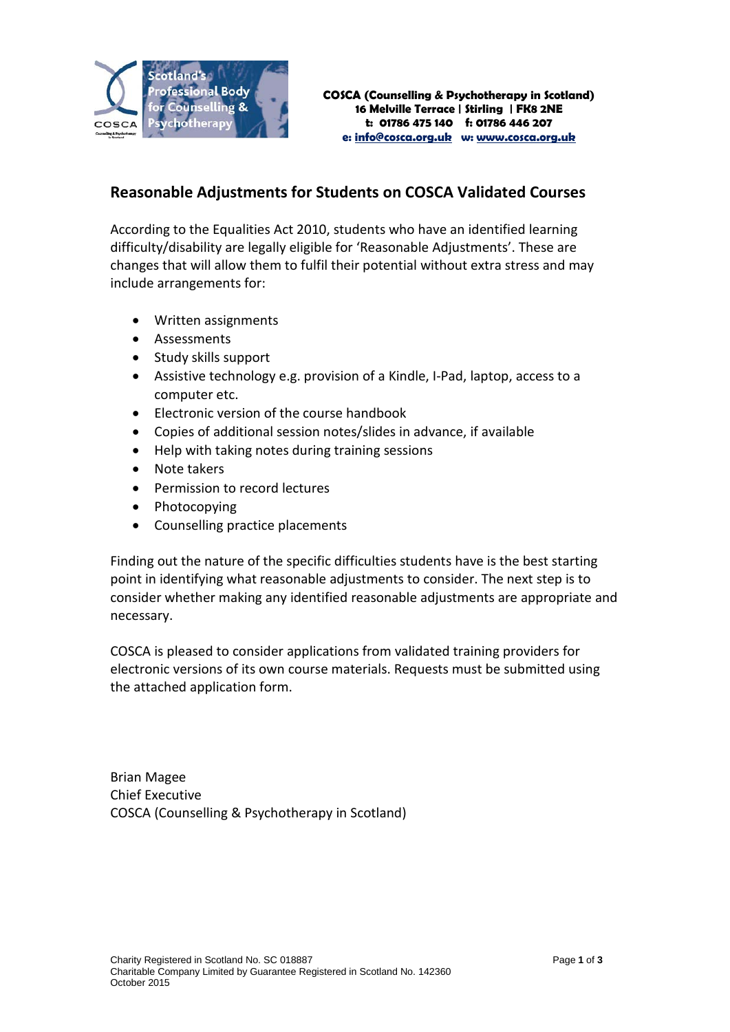

## **Reasonable Adjustments for Students on COSCA Validated Courses**

According to the Equalities Act 2010, students who have an identified learning difficulty/disability are legally eligible for 'Reasonable Adjustments'. These are changes that will allow them to fulfil their potential without extra stress and may include arrangements for:

- Written assignments
- Assessments
- Study skills support
- Assistive technology e.g. provision of a Kindle, I-Pad, laptop, access to a computer etc.
- Electronic version of the course handbook
- Copies of additional session notes/slides in advance, if available
- Help with taking notes during training sessions
- Note takers
- Permission to record lectures
- Photocopying
- Counselling practice placements

Finding out the nature of the specific difficulties students have is the best starting point in identifying what reasonable adjustments to consider. The next step is to consider whether making any identified reasonable adjustments are appropriate and necessary.

COSCA is pleased to consider applications from validated training providers for electronic versions of its own course materials. Requests must be submitted using the attached application form.

Brian Magee Chief Executive COSCA (Counselling & Psychotherapy in Scotland)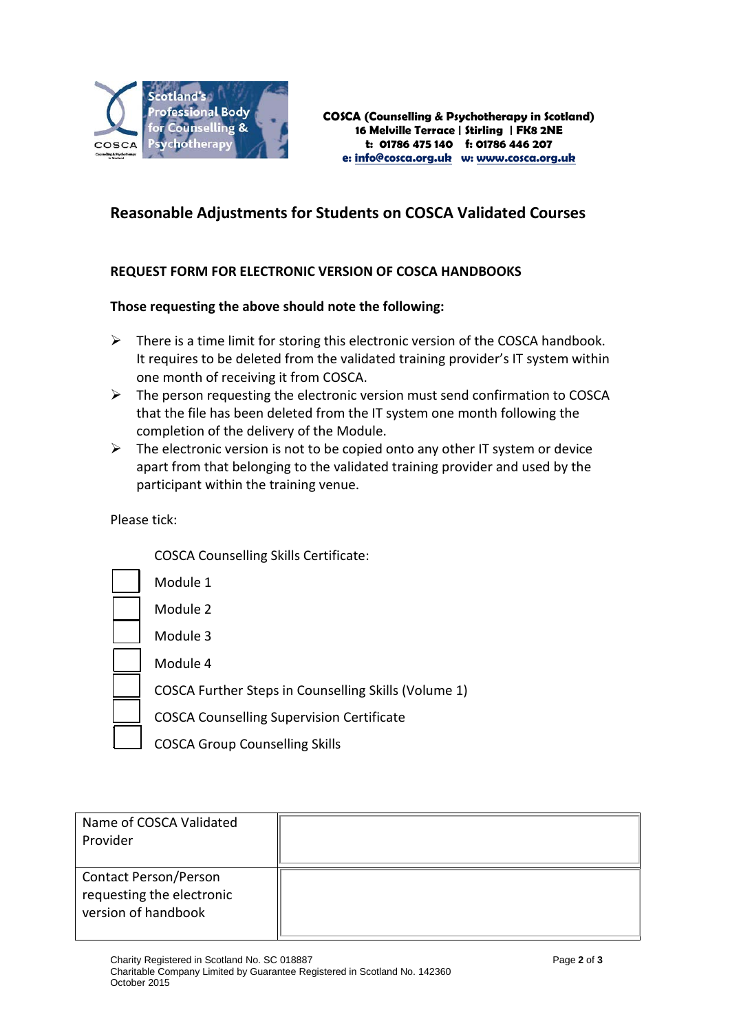

## **Reasonable Adjustments for Students on COSCA Validated Courses**

## **REQUEST FORM FOR ELECTRONIC VERSION OF COSCA HANDBOOKS**

## **Those requesting the above should note the following:**

- $\triangleright$  There is a time limit for storing this electronic version of the COSCA handbook. It requires to be deleted from the validated training provider's IT system within one month of receiving it from COSCA.
- $\triangleright$  The person requesting the electronic version must send confirmation to COSCA that the file has been deleted from the IT system one month following the completion of the delivery of the Module.
- $\triangleright$  The electronic version is not to be copied onto any other IT system or device apart from that belonging to the validated training provider and used by the participant within the training venue.

Please tick:

COSCA Counselling Skills Certificate:

| Module 1                                             |
|------------------------------------------------------|
| Module 2                                             |
| Module 3                                             |
| Module 4                                             |
| COSCA Further Steps in Counselling Skills (Volume 1) |
| <b>COSCA Counselling Supervision Certificate</b>     |
| <b>COSCA Group Counselling Skills</b>                |

| Name of COSCA Validated<br>Provider                                              |  |
|----------------------------------------------------------------------------------|--|
| <b>Contact Person/Person</b><br>requesting the electronic<br>version of handbook |  |